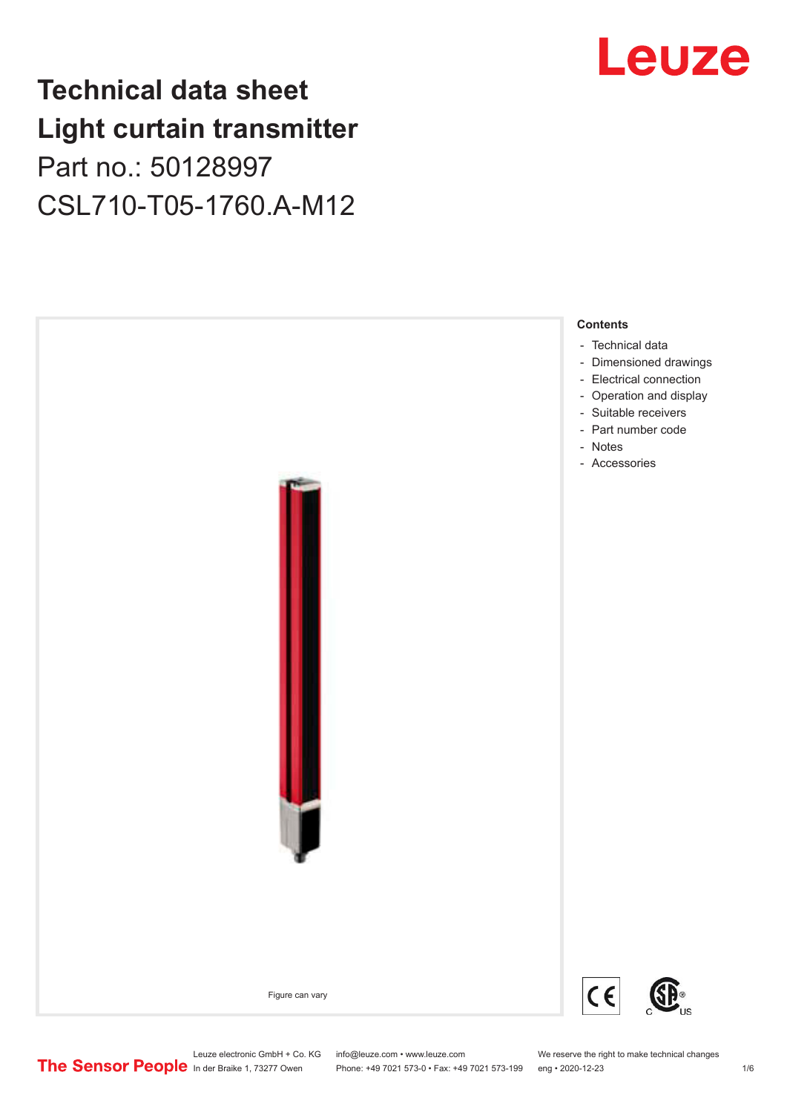## **Technical data sheet Light curtain transmitter** Part no.: 50128997 CSL710-T05-1760.A-M12





Leuze electronic GmbH + Co. KG info@leuze.com • www.leuze.com We reserve the right to make technical changes<br>
The Sensor People in der Braike 1, 73277 Owen Phone: +49 7021 573-0 • Fax: +49 7021 573-199 eng • 2020-12-23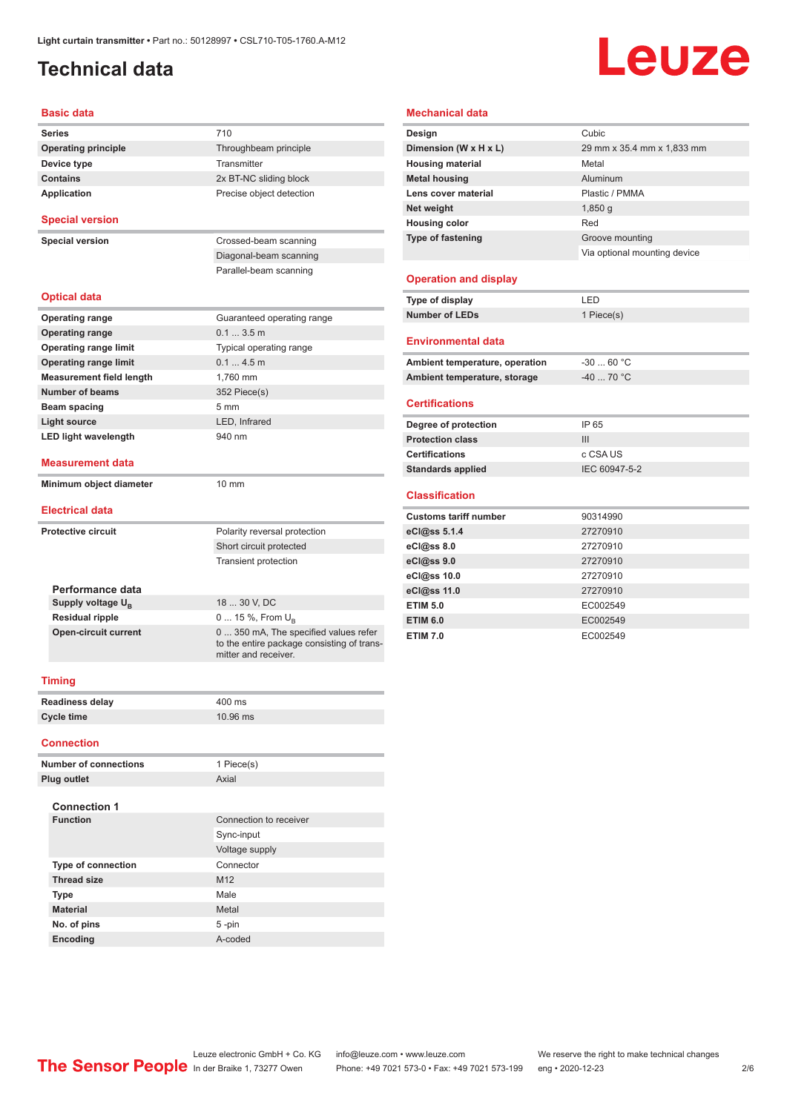## <span id="page-1-0"></span>**Technical data**

## Leuze

#### **Basic data**

| <b>Series</b>                   | 710                                                                                                         |
|---------------------------------|-------------------------------------------------------------------------------------------------------------|
| <b>Operating principle</b>      | Throughbeam principle                                                                                       |
| Device type                     | Transmitter                                                                                                 |
| <b>Contains</b>                 | 2x BT-NC sliding block                                                                                      |
| <b>Application</b>              | Precise object detection                                                                                    |
| <b>Special version</b>          |                                                                                                             |
| <b>Special version</b>          | Crossed-beam scanning                                                                                       |
|                                 | Diagonal-beam scanning                                                                                      |
|                                 | Parallel-beam scanning                                                                                      |
| <b>Optical data</b>             |                                                                                                             |
| <b>Operating range</b>          | Guaranteed operating range                                                                                  |
| <b>Operating range</b>          | 0.13.5m                                                                                                     |
| <b>Operating range limit</b>    | Typical operating range                                                                                     |
| <b>Operating range limit</b>    | 0.14.5m                                                                                                     |
| <b>Measurement field length</b> | 1.760 mm                                                                                                    |
| <b>Number of beams</b>          | 352 Piece(s)                                                                                                |
| <b>Beam spacing</b>             | 5 <sub>mm</sub>                                                                                             |
| <b>Light source</b>             | LED, Infrared                                                                                               |
| <b>LED light wavelength</b>     | 940 nm                                                                                                      |
| <b>Measurement data</b>         |                                                                                                             |
| Minimum object diameter         | 10 mm                                                                                                       |
| <b>Electrical data</b>          |                                                                                                             |
| <b>Protective circuit</b>       | Polarity reversal protection                                                                                |
|                                 | Short circuit protected                                                                                     |
|                                 | <b>Transient protection</b>                                                                                 |
|                                 |                                                                                                             |
| Performance data                |                                                                                                             |
| Supply voltage $U_{B}$          | 18  30 V, DC                                                                                                |
| <b>Residual ripple</b>          | 0  15 %, From U <sub>p</sub>                                                                                |
| <b>Open-circuit current</b>     | 0  350 mA, The specified values refer<br>to the entire package consisting of trans-<br>mitter and receiver. |
| <b>Timing</b>                   |                                                                                                             |
| Readiness delay                 | 400 ms                                                                                                      |
| <b>Cycle time</b>               | 10.96 ms                                                                                                    |
| <b>Connection</b>               |                                                                                                             |
|                                 |                                                                                                             |

| <b>Number of connections</b> | 1 Piece(s)             |
|------------------------------|------------------------|
| Plug outlet                  | Axial                  |
|                              |                        |
| <b>Connection 1</b>          |                        |
| <b>Function</b>              | Connection to receiver |
|                              | Sync-input             |
|                              | Voltage supply         |
| <b>Type of connection</b>    | Connector              |
| <b>Thread size</b>           | M <sub>12</sub>        |
| <b>Type</b>                  | Male                   |
| <b>Material</b>              | Metal                  |
| No. of pins                  | 5-pin                  |
| <b>Encoding</b>              | A-coded                |

#### **Mechanical data**

| Design                       | Cubic                        |
|------------------------------|------------------------------|
| Dimension (W x H x L)        | 29 mm x 35.4 mm x 1,833 mm   |
| <b>Housing material</b>      | Metal                        |
| <b>Metal housing</b>         | Aluminum                     |
| Lens cover material          | Plastic / PMMA               |
| Net weight                   | 1,850q                       |
| <b>Housing color</b>         | Red                          |
| <b>Type of fastening</b>     | Groove mounting              |
|                              | Via optional mounting device |
| <b>Operation and display</b> |                              |
| Type of display              | I FD                         |
| <b>Number of LEDs</b>        | 1 Piece(s)                   |

#### **Environmental data**

| Ambient temperature, operation | -30  60 °C |
|--------------------------------|------------|
| Ambient temperature, storage   | -40  70 °C |

#### **Certifications**

| Degree of protection     | IP 65         |
|--------------------------|---------------|
| <b>Protection class</b>  | Ш             |
| <b>Certifications</b>    | c CSA US      |
| <b>Standards applied</b> | IEC 60947-5-2 |
|                          |               |

#### **Classification**

| <b>Customs tariff number</b> | 90314990 |
|------------------------------|----------|
| eCl@ss 5.1.4                 | 27270910 |
| eCl@ss 8.0                   | 27270910 |
| eCl@ss 9.0                   | 27270910 |
| eCl@ss 10.0                  | 27270910 |
| eCl@ss 11.0                  | 27270910 |
| <b>ETIM 5.0</b>              | EC002549 |
| <b>ETIM 6.0</b>              | EC002549 |
| <b>ETIM 7.0</b>              | EC002549 |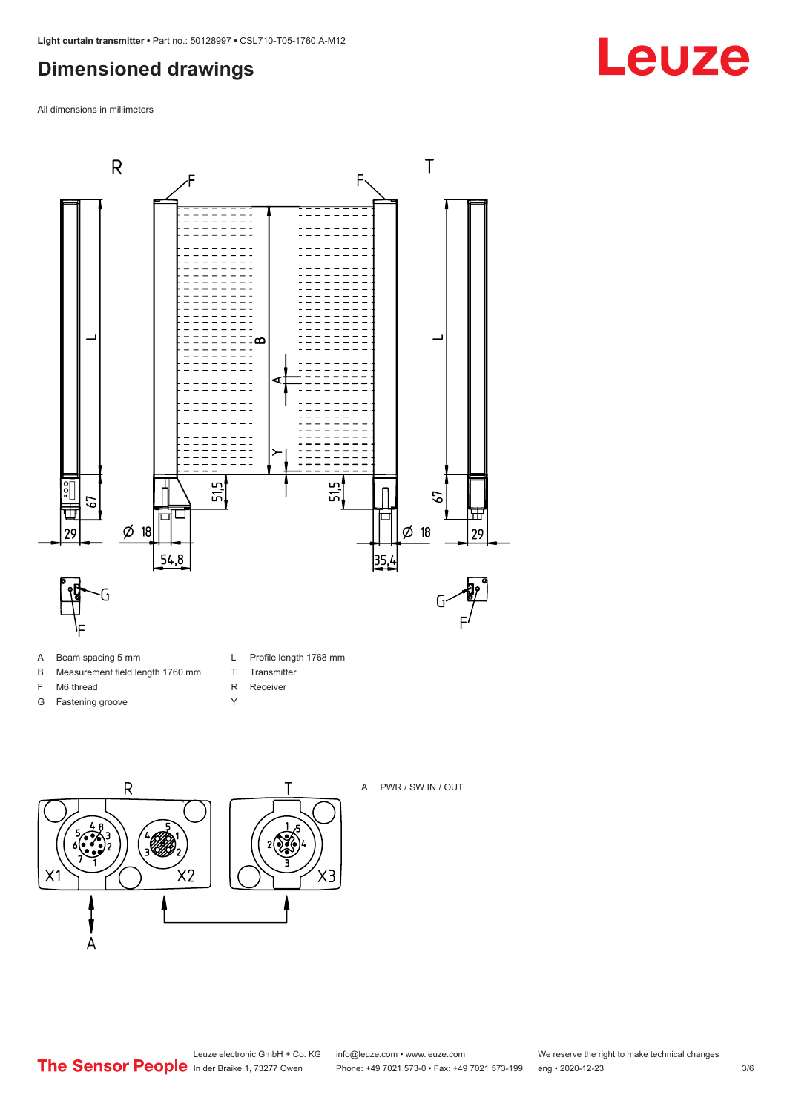## <span id="page-2-0"></span>**Dimensioned drawings**

All dimensions in millimeters



- A Beam spacing 5 mm
- B Measurement field length 1760 mm
- F M6 thread
- G Fastening groove
- L Profile length 1768 mm
- T Transmitter
- R Receiver
- Y





A PWR / SW IN / OUT

Leuze electronic GmbH + Co. KG info@leuze.com • www.leuze.com We reserve the right to make technical changes<br>
The Sensor People in der Braike 1, 73277 Owen Phone: +49 7021 573-0 • Fax: +49 7021 573-199 eng • 2020-12-23

Phone: +49 7021 573-0 • Fax: +49 7021 573-199 eng • 2020-12-23 3/6

## **Leuze**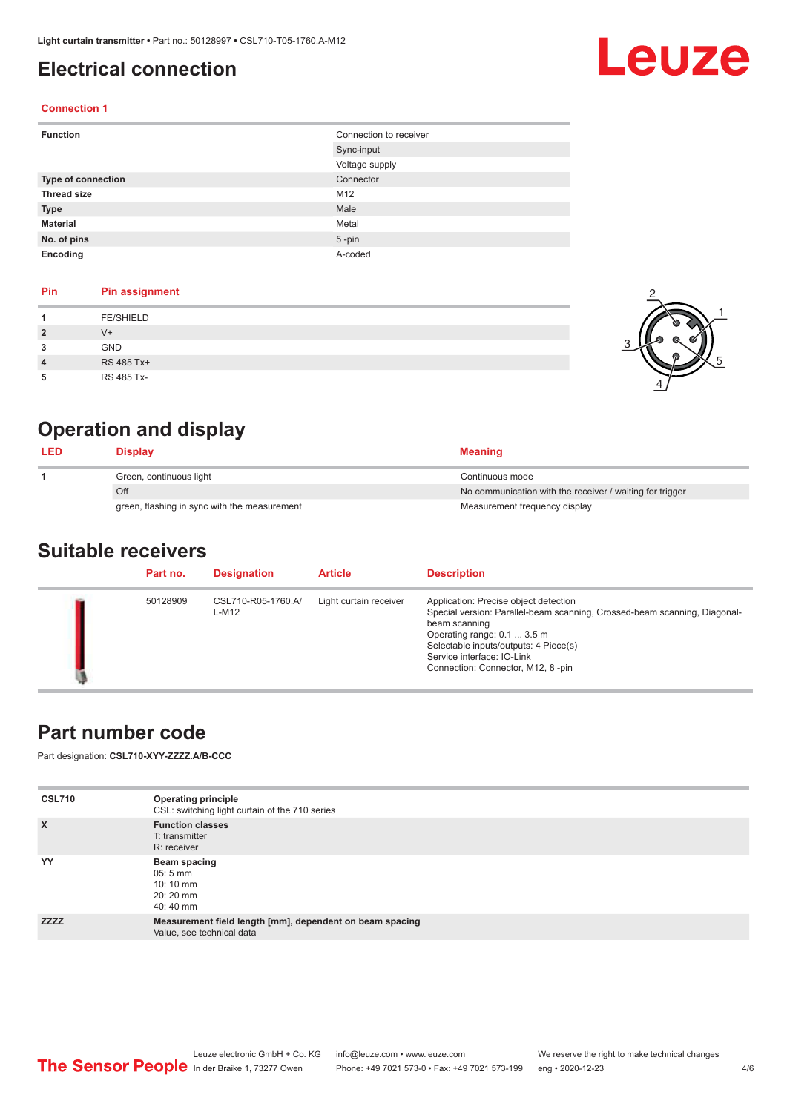## <span id="page-3-0"></span>**Electrical connection**

# Leuze

1

5

#### **Connection 1**

| <b>Function</b>           | Connection to receiver |
|---------------------------|------------------------|
|                           | Sync-input             |
|                           | Voltage supply         |
| <b>Type of connection</b> | Connector              |
| <b>Thread size</b>        | M12                    |
| <b>Type</b>               | Male                   |
| <b>Material</b>           | Metal                  |
| No. of pins               | $5$ -pin               |
| Encoding                  | A-coded                |

#### **Pin Pin assignment**

| Pin            | <b>Pin assignment</b> |  |
|----------------|-----------------------|--|
|                | <b>FE/SHIELD</b>      |  |
| $\overline{2}$ | $V^+$                 |  |
| 3              | <b>GND</b>            |  |
| 4              | RS 485 Tx+            |  |
| 5              | RS 485 Tx-            |  |

## **Operation and display**

| <b>LED</b> | <b>Display</b>                               | <b>Meaning</b>                                           |
|------------|----------------------------------------------|----------------------------------------------------------|
|            | Green, continuous light                      | Continuous mode                                          |
|            | Off                                          | No communication with the receiver / waiting for trigger |
|            | green, flashing in sync with the measurement | Measurement frequency display                            |

### **Suitable receivers**

| Part no. | <b>Designation</b>          | <b>Article</b>         | <b>Description</b>                                                                                                                                                                                                                                                             |
|----------|-----------------------------|------------------------|--------------------------------------------------------------------------------------------------------------------------------------------------------------------------------------------------------------------------------------------------------------------------------|
| 50128909 | CSL710-R05-1760.A/<br>L-M12 | Light curtain receiver | Application: Precise object detection<br>Special version: Parallel-beam scanning, Crossed-beam scanning, Diagonal-<br>beam scanning<br>Operating range: 0.1  3.5 m<br>Selectable inputs/outputs: 4 Piece(s)<br>Service interface: IO-Link<br>Connection: Connector, M12, 8-pin |

### **Part number code**

Part designation: **CSL710-XYY-ZZZZ.A/B-CCC**

| <b>CSL710</b> | <b>Operating principle</b><br>CSL: switching light curtain of the 710 series          |
|---------------|---------------------------------------------------------------------------------------|
| $\mathsf{x}$  | <b>Function classes</b><br>T: transmitter<br>R: receiver                              |
| YY            | Beam spacing<br>$05:5$ mm<br>$10:10 \, \text{mm}$<br>20:20 mm<br>40:40 mm             |
| <b>ZZZZ</b>   | Measurement field length [mm], dependent on beam spacing<br>Value, see technical data |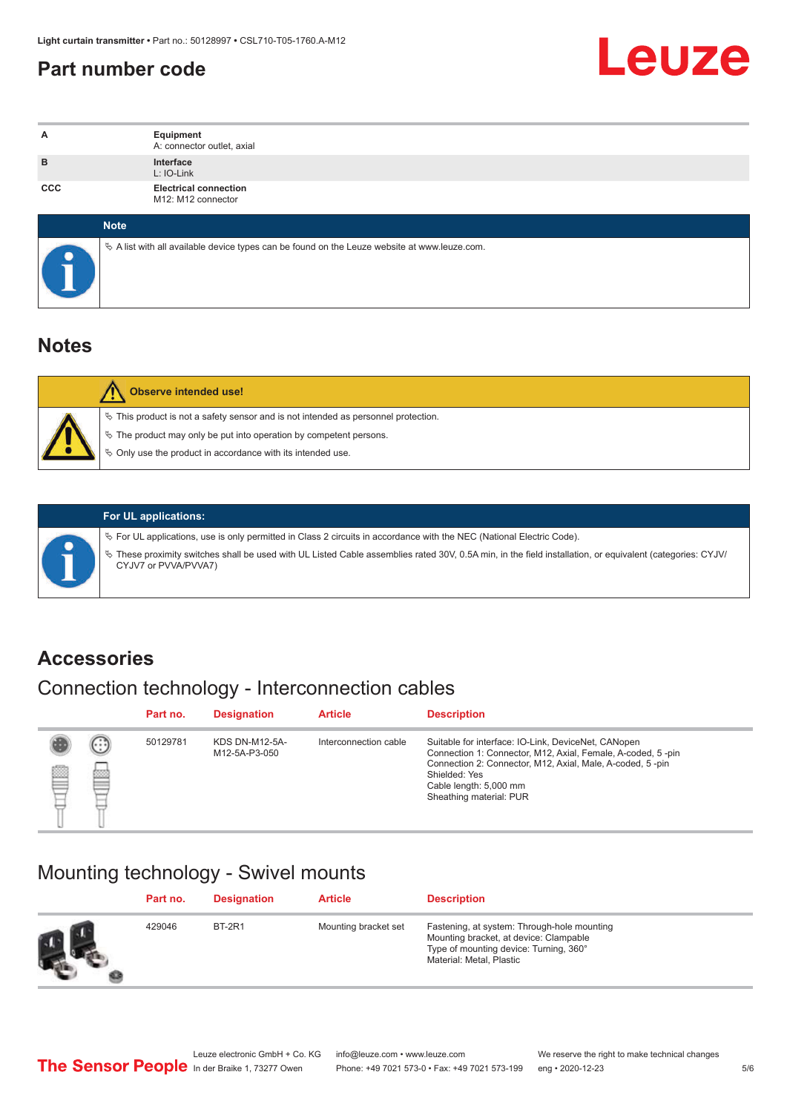## <span id="page-4-0"></span>**Part number code**



| A          | Equipment<br>A: connector outlet, axial                                                         |
|------------|-------------------------------------------------------------------------------------------------|
| B          | Interface<br>L: IO-Link                                                                         |
| <b>CCC</b> | <b>Electrical connection</b><br>M12: M12 connector                                              |
|            | <b>Note</b>                                                                                     |
|            | $\&$ A list with all available device types can be found on the Leuze website at www.leuze.com. |

### **Notes**

| <b>Observe intended use!</b>                                                                                                                                                                                                     |
|----------------------------------------------------------------------------------------------------------------------------------------------------------------------------------------------------------------------------------|
| $\%$ This product is not a safety sensor and is not intended as personnel protection.<br>$\&$ The product may only be put into operation by competent persons.<br>$\%$ Only use the product in accordance with its intended use. |

ª These proximity switches shall be used with UL Listed Cable assemblies rated 30V, 0.5A min, in the field installation, or equivalent (categories: CYJV/

ª For UL applications, use is only permitted in Class 2 circuits in accordance with the NEC (National Electric Code).

**For UL applications:**

CYJV7 or PVVA/PVVA7)

**Accessories**

## Connection technology - Interconnection cables

|   |        | Part no. | <b>Designation</b>                     | <b>Article</b>        | <b>Description</b>                                                                                                                                                                                                                                    |
|---|--------|----------|----------------------------------------|-----------------------|-------------------------------------------------------------------------------------------------------------------------------------------------------------------------------------------------------------------------------------------------------|
| Ø | ⊙<br>œ | 50129781 | <b>KDS DN-M12-5A-</b><br>M12-5A-P3-050 | Interconnection cable | Suitable for interface: IO-Link, DeviceNet, CANopen<br>Connection 1: Connector, M12, Axial, Female, A-coded, 5-pin<br>Connection 2: Connector, M12, Axial, Male, A-coded, 5-pin<br>Shielded: Yes<br>Cable length: 5,000 mm<br>Sheathing material: PUR |

## Mounting technology - Swivel mounts

|   | Part no. | <b>Designation</b> | <b>Article</b>       | <b>Description</b>                                                                                                                                          |
|---|----------|--------------------|----------------------|-------------------------------------------------------------------------------------------------------------------------------------------------------------|
| 面 | 429046   | <b>BT-2R1</b>      | Mounting bracket set | Fastening, at system: Through-hole mounting<br>Mounting bracket, at device: Clampable<br>Type of mounting device: Turning, 360°<br>Material: Metal, Plastic |